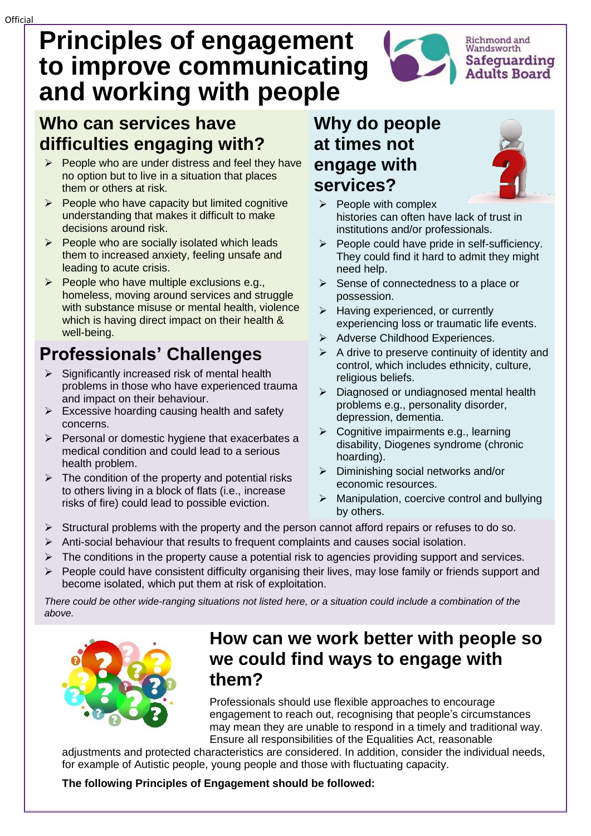# **Principles of engagement to improve communicating and working with people**

### **Who can services have difficulties engaging with?**

- $\triangleright$  People who are under distress and feel they have no option but to live in a situation that places them or others at risk.
- $\triangleright$  People who have capacity but limited cognitive understanding that makes it difficult to make decisions around risk.
- $\triangleright$  People who are socially isolated which leads them to increased anxiety, feeling unsafe and leading to acute crisis.
- $\triangleright$  People who have multiple exclusions e.g., homeless, moving around services and struggle with substance misuse or mental health, violence which is having direct impact on their health & well-being.

## **Professionals' Challenges**

- ➢ Significantly increased risk of mental health problems in those who have experienced trauma and impact on their behaviour.
- $\triangleright$  Excessive hoarding causing health and safety concerns.
- $\triangleright$  Personal or domestic hygiene that exacerbates a medical condition and could lead to a serious health problem.
- $\triangleright$  The condition of the property and potential risks to others living in a block of flats (i.e., increase risks of fire) could lead to possible eviction.

#### **Why do people at times not engage with services?**



Richmond and<br>Wandsworth

Safequarding **Adults Board** 

- $\triangleright$  People with complex histories can often have lack of trust in institutions and/or professionals.
- ➢ People could have pride in self-sufficiency. They could find it hard to admit they might need help.
- ➢ Sense of connectedness to a place or possession.
- ➢ Having experienced, or currently experiencing loss or traumatic life events.
- ➢ Adverse Childhood Experiences.
- $\triangleright$  A drive to preserve continuity of identity and control, which includes ethnicity, culture, religious beliefs.
- ➢ Diagnosed or undiagnosed mental health problems e.g., personality disorder, depression, dementia.
- ➢ Cognitive impairments e.g., learning disability, Diogenes syndrome (chronic hoarding).
- ➢ Diminishing social networks and/or economic resources.
- $\triangleright$  Manipulation, coercive control and bullying by others.
- $\triangleright$  Structural problems with the property and the person cannot afford repairs or refuses to do so.
- $\triangleright$  Anti-social behaviour that results to frequent complaints and causes social isolation.
- $\triangleright$  The conditions in the property cause a potential risk to agencies providing support and services.
- $\triangleright$  People could have consistent difficulty organising their lives, may lose family or friends support and become isolated, which put them at risk of exploitation.

*There could be other wide-ranging situations not listed here, or a situation could include a combination of the above.*



### **How can we work better with people so we could find ways to engage with them?**

Professionals should use flexible approaches to encourage engagement to reach out, recognising that people's circumstances may mean they are unable to respond in a timely and traditional way. Ensure all responsibilities of the Equalities Act, reasonable

adjustments and protected characteristics are considered. In addition, consider the individual needs, for example of Autistic people, young people and those with fluctuating capacity.

#### **The following Principles of Engagement should be followed:**